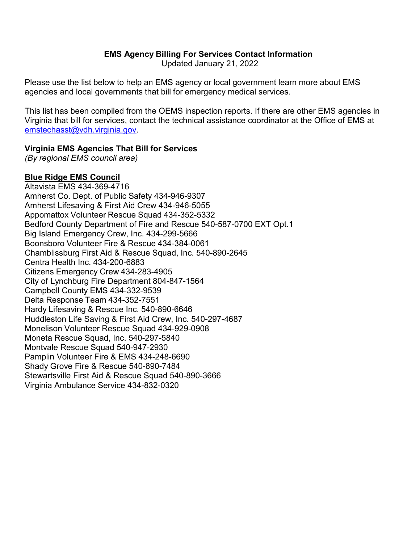Updated January 21, 2022

Please use the list below to help an EMS agency or local government learn more about EMS agencies and local governments that bill for emergency medical services.

This list has been compiled from the OEMS inspection reports. If there are other EMS agencies in Virginia that bill for services, contact the technical assistance coordinator at the Office of EMS at [emstechasst@vdh.virginia.gov.](mailto:emstechasst@vdh.virginia.gov)

## **Virginia EMS Agencies That Bill for Services**

*(By regional EMS council area)*

## **Blue Ridge EMS Council**

Altavista EMS 434-369-4716 Amherst Co. Dept. of Public Safety 434-946-9307 Amherst Lifesaving & First Aid Crew 434-946-5055 Appomattox Volunteer Rescue Squad 434-352-5332 Bedford County Department of Fire and Rescue 540-587-0700 EXT Opt.1 Big Island Emergency Crew, Inc. 434-299-5666 Boonsboro Volunteer Fire & Rescue 434-384-0061 Chamblissburg First Aid & Rescue Squad, Inc. 540-890-2645 Centra Health Inc. 434-200-6883 Citizens Emergency Crew 434-283-4905 City of Lynchburg Fire Department 804-847-1564 Campbell County EMS 434-332-9539 Delta Response Team 434-352-7551 Hardy Lifesaving & Rescue Inc. 540-890-6646 Huddleston Life Saving & First Aid Crew, Inc. 540-297-4687 Monelison Volunteer Rescue Squad 434-929-0908 Moneta Rescue Squad, Inc. 540-297-5840 Montvale Rescue Squad 540-947-2930 Pamplin Volunteer Fire & EMS 434-248-6690 Shady Grove Fire & Rescue 540-890-7484 Stewartsville First Aid & Rescue Squad 540-890-3666 Virginia Ambulance Service 434-832-0320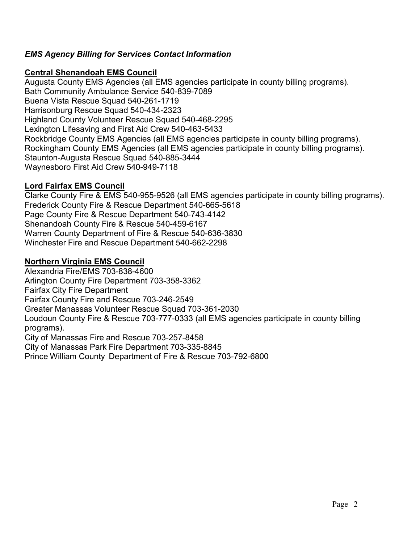## **Central Shenandoah EMS Council**

Augusta County EMS Agencies (all EMS agencies participate in county billing programs). Bath Community Ambulance Service 540-839-7089 Buena Vista Rescue Squad 540-261-1719 Harrisonburg Rescue Squad 540-434-2323 Highland County Volunteer Rescue Squad 540-468-2295 Lexington Lifesaving and First Aid Crew 540-463-5433 Rockbridge County EMS Agencies (all EMS agencies participate in county billing programs). Rockingham County EMS Agencies (all EMS agencies participate in county billing programs). Staunton-Augusta Rescue Squad 540-885-3444 Waynesboro First Aid Crew 540-949-7118

## **Lord Fairfax EMS Council**

Clarke County Fire & EMS 540-955-9526 (all EMS agencies participate in county billing programs). Frederick County Fire & Rescue Department 540-665-5618 Page County Fire & Rescue Department 540-743-4142 Shenandoah County Fire & Rescue 540-459-6167 Warren County Department of Fire & Rescue 540-636-3830 Winchester Fire and Rescue Department 540-662-2298

## **Northern Virginia EMS Council**

Alexandria Fire/EMS 703-838-4600 Arlington County Fire Department 703-358-3362 Fairfax City Fire Department Fairfax County Fire and Rescue 703-246-2549 Greater Manassas Volunteer Rescue Squad 703-361-2030 Loudoun County Fire & Rescue 703-777-0333 (all EMS agencies participate in county billing programs). City of Manassas Fire and Rescue 703-257-8458 City of Manassas Park Fire Department 703-335-8845

Prince William County Department of Fire & Rescue 703-792-6800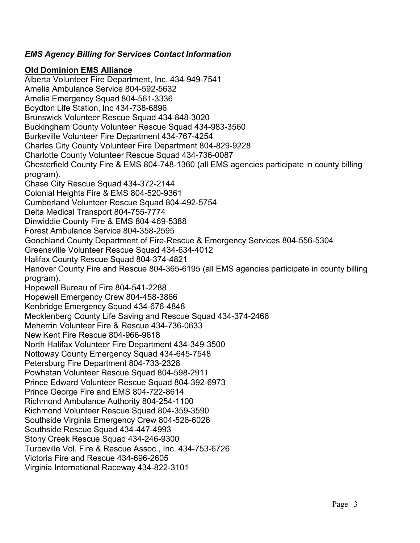# **Old Dominion EMS Alliance**

Alberta Volunteer Fire Department, Inc. 434-949-7541 Amelia Ambulance Service 804-592-5632 Amelia Emergency Squad 804-561-3336 Boydton Life Station, Inc 434-738-6896 Brunswick Volunteer Rescue Squad 434-848-3020 Buckingham County Volunteer Rescue Squad 434-983-3560 Burkeville Volunteer Fire Department 434-767-4254 Charles City County Volunteer Fire Department 804-829-9228 Charlotte County Volunteer Rescue Squad 434-736-0087 Chesterfield County Fire & EMS 804-748-1360 (all EMS agencies participate in county billing program). Chase City Rescue Squad 434-372-2144 Colonial Heights Fire & EMS 804-520-9361 Cumberland Volunteer Rescue Squad 804-492-5754 Delta Medical Transport 804-755-7774 Dinwiddie County Fire & EMS 804-469-5388 Forest Ambulance Service 804-358-2595 Goochland County Department of Fire-Rescue & Emergency Services 804-556-5304 Greensville Volunteer Rescue Squad 434-634-4012 Halifax County Rescue Squad 804-374-4821 Hanover County Fire and Rescue 804-365-6195 (all EMS agencies participate in county billing program). Hopewell Bureau of Fire 804-541-2288 Hopewell Emergency Crew 804-458-3866 Kenbridge Emergency Squad 434-676-4848 Mecklenberg County Life Saving and Rescue Squad 434-374-2466 Meherrin Volunteer Fire & Rescue 434-736-0633 New Kent Fire Rescue 804-966-9618 North Halifax Volunteer Fire Department 434-349-3500 Nottoway County Emergency Squad 434-645-7548 Petersburg Fire Department 804-733-2328 Powhatan Volunteer Rescue Squad 804-598-2911 Prince Edward Volunteer Rescue Squad 804-392-6973 Prince George Fire and EMS 804-722-8614 Richmond Ambulance Authority 804-254-1100 Richmond Volunteer Rescue Squad 804-359-3590 Southside Virginia Emergency Crew 804-526-6026 Southside Rescue Squad 434-447-4993 Stony Creek Rescue Squad 434-246-9300 Turbeville Vol. Fire & Rescue Assoc., Inc. 434-753-6726 Victoria Fire and Rescue 434-696-2605 Virginia International Raceway 434-822-3101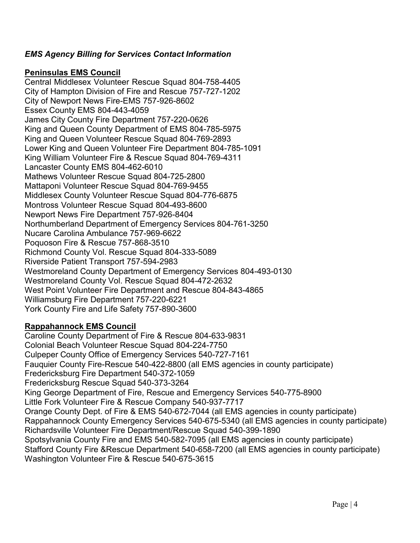#### **Peninsulas EMS Council**

Central Middlesex Volunteer Rescue Squad 804-758-4405 City of Hampton Division of Fire and Rescue 757-727-1202 City of Newport News Fire-EMS 757-926-8602 Essex County EMS 804-443-4059 James City County Fire Department 757-220-0626 King and Queen County Department of EMS 804-785-5975 King and Queen Volunteer Rescue Squad 804-769-2893 Lower King and Queen Volunteer Fire Department 804-785-1091 King William Volunteer Fire & Rescue Squad 804-769-4311 Lancaster County EMS 804-462-6010 Mathews Volunteer Rescue Squad 804-725-2800 Mattaponi Volunteer Rescue Squad 804-769-9455 Middlesex County Volunteer Rescue Squad 804-776-6875 Montross Volunteer Rescue Squad 804-493-8600 Newport News Fire Department 757-926-8404 Northumberland Department of Emergency Services 804-761-3250 Nucare Carolina Ambulance 757-969-6622 Poquoson Fire & Rescue 757-868-3510 Richmond County Vol. Rescue Squad 804-333-5089 Riverside Patient Transport 757-594-2983 Westmoreland County Department of Emergency Services 804-493-0130 Westmoreland County Vol. Rescue Squad 804-472-2632 West Point Volunteer Fire Department and Rescue 804-843-4865 Williamsburg Fire Department 757-220-6221 York County Fire and Life Safety 757-890-3600

# **Rappahannock EMS Council**

Caroline County Department of Fire & Rescue 804-633-9831 Colonial Beach Volunteer Rescue Squad 804-224-7750 Culpeper County Office of Emergency Services 540-727-7161 Fauquier County Fire-Rescue 540-422-8800 (all EMS agencies in county participate) Fredericksburg Fire Department 540-372-1059 Fredericksburg Rescue Squad 540-373-3264 King George Department of Fire, Rescue and Emergency Services 540-775-8900 Little Fork Volunteer Fire & Rescue Company 540-937-7717 Orange County Dept. of Fire & EMS 540-672-7044 (all EMS agencies in county participate) Rappahannock County Emergency Services 540-675-5340 (all EMS agencies in county participate) Richardsville Volunteer Fire Department/Rescue Squad 540-399-1890 Spotsylvania County Fire and EMS 540-582-7095 (all EMS agencies in county participate) Stafford County Fire &Rescue Department 540-658-7200 (all EMS agencies in county participate) Washington Volunteer Fire & Rescue 540-675-3615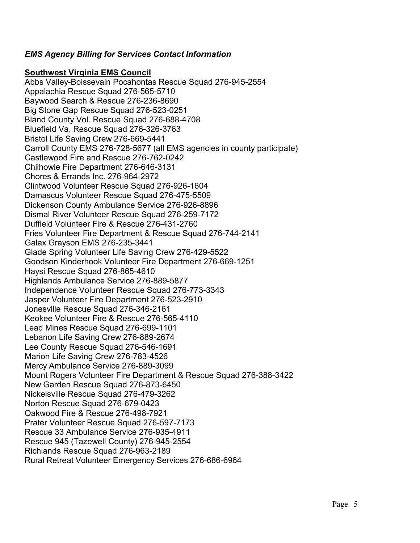#### **Southwest Virginia EMS Council**

Abbs Valley-Boissevain Pocahontas Rescue Squad 276-945-2554 Appalachia Rescue Squad 276-565-5710 Baywood Search & Rescue 276-236-8690 Big Stone Gap Rescue Squad 276-523-0251 Bland County Vol. Rescue Squad 276-688-4708 Bluefield Va. Rescue Squad 276-326-3763 Bristol Life Saving Crew 276-669-5441 Carroll County EMS 276-728-5677 (all EMS agencies in county participate) Castlewood Fire and Rescue 276-762-0242 Chilhowie Fire Department 276-646-3131 Chores & Errands Inc. 276-964-2972 Clintwood Volunteer Rescue Squad 276-926-1604 Damascus Volunteer Rescue Squad 276-475-5509 Dickenson County Ambulance Service 276-926-8896 Dismal River Volunteer Rescue Squad 276-259-7172 Duffield Volunteer Fire & Rescue 276-431-2760 Fries Volunteer Fire Department & Rescue Squad 276-744-2141 Galax Grayson EMS 276-235-3441 Glade Spring Volunteer Life Saving Crew 276-429-5522 Goodson Kinderhook Volunteer Fire Department 276-669-1251 Haysi Rescue Squad 276-865-4610 Highlands Ambulance Service 276-889-5877 Independence Volunteer Rescue Squad 276-773-3343 Jasper Volunteer Fire Department 276-523-2910 Jonesville Rescue Squad 276-346-2161 Keokee Volunteer Fire & Rescue 276-565-4110 Lead Mines Rescue Squad 276-699-1101 Lebanon Life Saving Crew 276-889-2674 Lee County Rescue Squad 276-546-1691 Marion Life Saving Crew 276-783-4526 Mercy Ambulance Service 276-889-3099 Mount Rogers Volunteer Fire Department & Rescue Squad 276-388-3422 New Garden Rescue Squad 276-873-6450 Nickelsville Rescue Squad 276-479-3262 Norton Rescue Squad 276-679-0423 Oakwood Fire & Rescue 276-498-7921 Prater Volunteer Rescue Squad 276-597-7173 Rescue 33 Ambulance Service 276-935-4911 Rescue 945 (Tazewell County) 276-945-2554 Richlands Rescue Squad 276-963-2189 Rural Retreat Volunteer Emergency Services 276-686-6964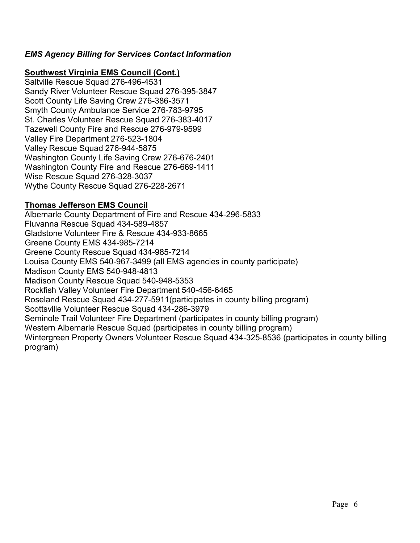## **Southwest Virginia EMS Council (Cont.)**

Saltville Rescue Squad 276-496-4531 Sandy River Volunteer Rescue Squad 276-395-3847 Scott County Life Saving Crew 276-386-3571 Smyth County Ambulance Service 276-783-9795 St. Charles Volunteer Rescue Squad 276-383-4017 Tazewell County Fire and Rescue 276-979-9599 Valley Fire Department 276-523-1804 Valley Rescue Squad 276-944-5875 Washington County Life Saving Crew 276-676-2401 Washington County Fire and Rescue 276-669-1411 Wise Rescue Squad 276-328-3037 Wythe County Rescue Squad 276-228-2671

## **Thomas Jefferson EMS Council**

Albemarle County Department of Fire and Rescue 434-296-5833 Fluvanna Rescue Squad 434-589-4857 Gladstone Volunteer Fire & Rescue 434-933-8665 Greene County EMS 434-985-7214 Greene County Rescue Squad 434-985-7214 Louisa County EMS 540-967-3499 (all EMS agencies in county participate) Madison County EMS 540-948-4813 Madison County Rescue Squad 540-948-5353 Rockfish Valley Volunteer Fire Department 540-456-6465 Roseland Rescue Squad 434-277-5911(participates in county billing program) Scottsville Volunteer Rescue Squad 434-286-3979 Seminole Trail Volunteer Fire Department (participates in county billing program) Western Albemarle Rescue Squad (participates in county billing program) Wintergreen Property Owners Volunteer Rescue Squad 434-325-8536 (participates in county billing program)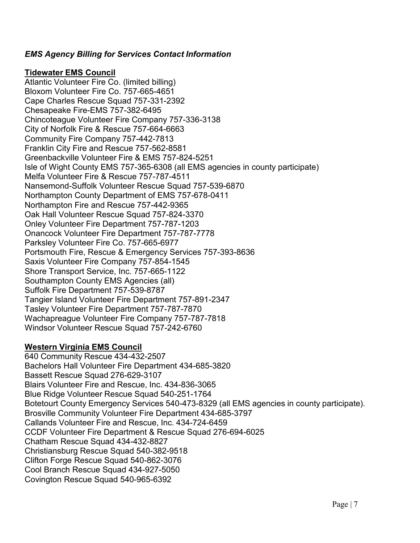#### **Tidewater EMS Council**

Atlantic Volunteer Fire Co. (limited billing) Bloxom Volunteer Fire Co. 757-665-4651 Cape Charles Rescue Squad 757-331-2392 Chesapeake Fire-EMS 757-382-6495 Chincoteague Volunteer Fire Company 757-336-3138 City of Norfolk Fire & Rescue 757-664-6663 Community Fire Company 757-442-7813 Franklin City Fire and Rescue 757-562-8581 Greenbackville Volunteer Fire & EMS 757-824-5251 Isle of Wight County EMS 757-365-6308 (all EMS agencies in county participate) Melfa Volunteer Fire & Rescue 757-787-4511 Nansemond-Suffolk Volunteer Rescue Squad 757-539-6870 Northampton County Department of EMS 757-678-0411 Northampton Fire and Rescue 757-442-9365 Oak Hall Volunteer Rescue Squad 757-824-3370 Onley Volunteer Fire Department 757-787-1203 Onancock Volunteer Fire Department 757-787-7778 Parksley Volunteer Fire Co. 757-665-6977 Portsmouth Fire, Rescue & Emergency Services 757-393-8636 Saxis Volunteer Fire Company 757-854-1545 Shore Transport Service, Inc. 757-665-1122 Southampton County EMS Agencies (all) Suffolk Fire Department 757-539-8787 Tangier Island Volunteer Fire Department 757-891-2347 Tasley Volunteer Fire Department 757-787-7870 Wachapreague Volunteer Fire Company 757-787-7818 Windsor Volunteer Rescue Squad 757-242-6760

# **Western Virginia EMS Council**

640 Community Rescue 434-432-2507 Bachelors Hall Volunteer Fire Department 434-685-3820 Bassett Rescue Squad 276-629-3107 Blairs Volunteer Fire and Rescue, Inc. 434-836-3065 Blue Ridge Volunteer Rescue Squad 540-251-1764 Botetourt County Emergency Services 540-473-8329 (all EMS agencies in county participate). Brosville Community Volunteer Fire Department 434-685-3797 Callands Volunteer Fire and Rescue, Inc. 434-724-6459 CCDF Volunteer Fire Department & Rescue Squad 276-694-6025 Chatham Rescue Squad 434-432-8827 Christiansburg Rescue Squad 540-382-9518 Clifton Forge Rescue Squad 540-862-3076 Cool Branch Rescue Squad 434-927-5050 Covington Rescue Squad 540-965-6392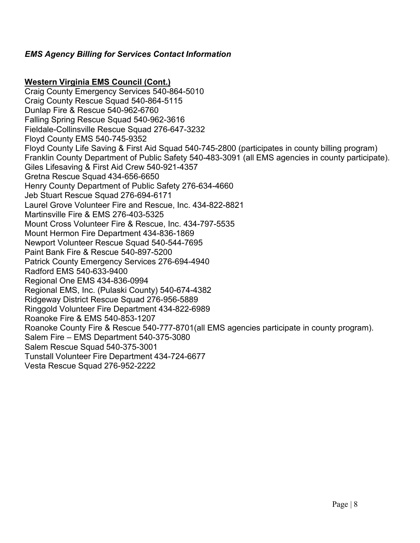#### **Western Virginia EMS Council (Cont.)**

Craig County Emergency Services 540-864-5010 Craig County Rescue Squad 540-864-5115 Dunlap Fire & Rescue 540-962-6760 Falling Spring Rescue Squad 540-962-3616 Fieldale-Collinsville Rescue Squad 276-647-3232 Floyd County EMS 540-745-9352 Floyd County Life Saving & First Aid Squad 540-745-2800 (participates in county billing program) Franklin County Department of Public Safety 540-483-3091 (all EMS agencies in county participate). Giles Lifesaving & First Aid Crew 540-921-4357 Gretna Rescue Squad 434-656-6650 Henry County Department of Public Safety 276-634-4660 Jeb Stuart Rescue Squad 276-694-6171 Laurel Grove Volunteer Fire and Rescue, Inc. 434-822-8821 Martinsville Fire & EMS 276-403-5325 Mount Cross Volunteer Fire & Rescue, Inc. 434-797-5535 Mount Hermon Fire Department 434-836-1869 Newport Volunteer Rescue Squad 540-544-7695 Paint Bank Fire & Rescue 540-897-5200 Patrick County Emergency Services 276-694-4940 Radford EMS 540-633-9400 Regional One EMS 434-836-0994 Regional EMS, Inc. (Pulaski County) 540-674-4382 Ridgeway District Rescue Squad 276-956-5889 Ringgold Volunteer Fire Department 434-822-6989 Roanoke Fire & EMS 540-853-1207 Roanoke County Fire & Rescue 540-777-8701(all EMS agencies participate in county program). Salem Fire – EMS Department 540-375-3080 Salem Rescue Squad 540-375-3001 Tunstall Volunteer Fire Department 434-724-6677 Vesta Rescue Squad 276-952-2222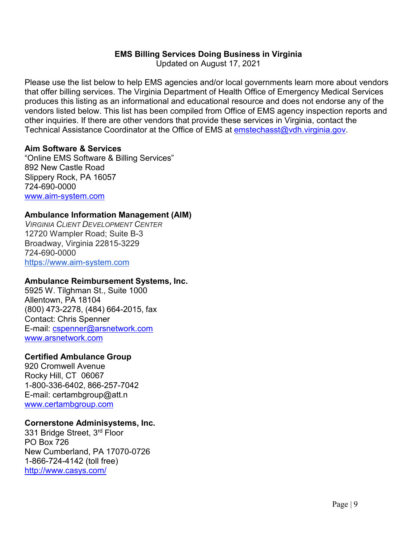## **EMS Billing Services Doing Business in Virginia**

Updated on August 17, 2021

Please use the list below to help EMS agencies and/or local governments learn more about vendors that offer billing services. The Virginia Department of Health Office of Emergency Medical Services produces this listing as an informational and educational resource and does not endorse any of the vendors listed below. This list has been compiled from Office of EMS agency inspection reports and other inquiries. If there are other vendors that provide these services in Virginia, contact the Technical Assistance Coordinator at the Office of EMS at [emstechasst@vdh.virginia.gov.](mailto:emstechasst@vdh.virginia.gov)

#### **Aim Software & Services**

"Online EMS Software & Billing Services" 892 New Castle Road Slippery Rock, PA 16057 724-690-0000 [www.aim-system.com](http://www.aim-system.com/)

#### **Ambulance Information Management (AIM)**

*VIRGINIA CLIENT DEVELOPMENT CENTER* 12720 Wampler Road; Suite B-3 Broadway, Virginia 22815-3229 724-690-0000 [https://www.aim-system.com](https://www.aim-system.com/)

#### **Ambulance Reimbursement Systems, Inc.**

5925 W. Tilghman St., Suite 1000 Allentown, PA 18104 (800) 473-2278, (484) 664-2015, fax Contact: Chris Spenner E-mail: [cspenner@arsnetwork.com](mailto:cspenner@arsnetwork.com) [www.arsnetwork.com](http://www.arsnetwork.com/)

#### **Certified Ambulance Group**

920 Cromwell Avenue Rocky Hill, CT 06067 1-800-336-6402, 866-257-7042 E-mail: [certambgroup@att.n](mailto:certambgroup@att.n) [www.certambgroup.com](http://www.certambgroup.com/)

#### **Cornerstone Adminisystems, Inc.**

331 Bridge Street, 3rd Floor PO Box 726 New Cumberland, PA 17070-0726 1-866-724-4142 (toll free) <http://www.casys.com/>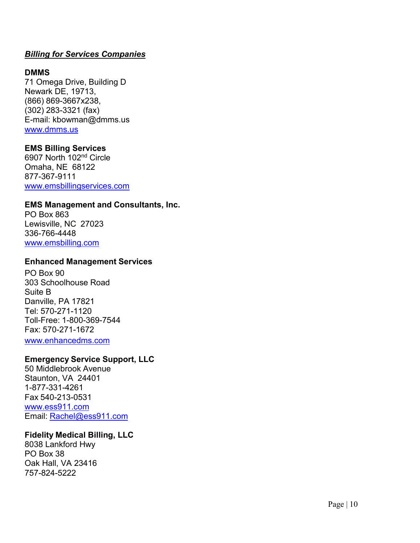#### **DMMS**

71 Omega Drive, Building D Newark DE, 19713, (866) 869 -3667x238, (302) 283 -3321 (fax) E -mail: [kbowman@dmms.us](mailto:kbowman@dmms.us) [www.dmms.us](http://www.dmms.us/)

## **EMS Billing Services**

6907 North 102nd Circle Omaha, NE 68122 877 -367 -9111 [www.emsbillingservices.com](http://www.emsbillingservices.com/)

#### **EMS Management and Consultants, Inc.**

PO Box 863 Lewisville, NC 27023 336 -766 -4448 [www.emsbilling.com](http://www.emsbilling.com/)

#### **Enhanced Management Services**

PO Box 90 303 Schoolhouse Road Suite B Danville, PA 17821 Tel: 570 -271 -1120 Toll -Free: 1 -800 -369 -7544 Fax: 570 -271 -1672 [www.enhancedms.com](http://www.enhancedms.com/)

#### **Emergency Service Support, LLC**

50 Middlebrook Avenue Staunton, VA 24401 1-877-331-4261 Fax 540 -213 -0531 [www.ess911.com](http://www.ess911.com/) Email: [Rachel@ess911.com](mailto:Rachel@ess911.com)

#### **Fidelity Medical Billing, LLC**

8038 Lankford Hwy PO Box 38 Oak Hall, VA 23416 757 -824 -5222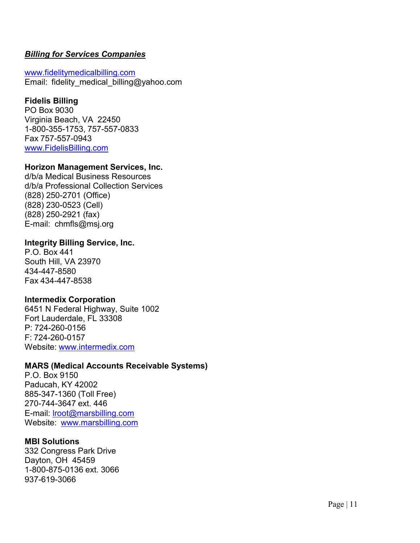[www.fidelitymedicalbilling.com](http://www.fidelitymedicalbilling.com/) Email: fidelity medical billing@yahoo.com

# **Fidelis Billing**

PO Box 9030 Virginia Beach, VA 22450 1-800-355-1753, 757-557-0833 Fax 757-557-0943 [www.FidelisBilling.com](http://www.fidelisbilling.com/)

## **Horizon Management Services, Inc.**

d/b/a Medical Business Resources d/b/a Professional Collection Services (828) 250-2701 (Office) (828) 230-0523 (Cell) (828) 250-2921 (fax) E-mail: [chmfls@msj.org](mailto:chmfls@msj.org)

#### **Integrity Billing Service, Inc.**

P.O. Box 441 South Hill, VA 23970 434-447-8580 Fax 434-447-8538

#### **Intermedix Corporation**

6451 N Federal Highway, Suite 1002 Fort Lauderdale, FL 33308 P: 724-260-0156 F: 724-260-0157 Website: [www.intermedix.com](http://www.intermedix.com/)

#### **MARS (Medical Accounts Receivable Systems)**

P.O. Box 9150 Paducah, KY 42002 885-347-1360 (Toll Free) 270-744-3647 ext. 446 E-mail: *Iroot@marsbilling.com* Website: [www.marsbilling.com](http://www.marsbilling.com/)

#### **MBI Solutions**

332 Congress Park Drive Dayton, OH 45459 1-800-875-0136 ext. 3066 937-619-3066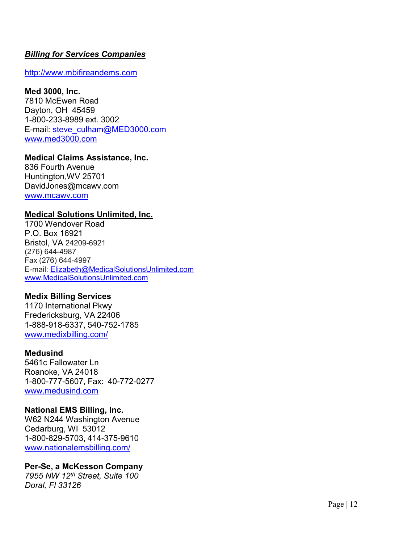[http://www.mbifireandems.com](http://www.mbi-solutions.com/)

# **Med 3000, Inc.**

7810 McEwen Road Dayton, OH 45459 1-800-233-8989 ext. 3002 E-mail: [steve\\_culham@MED3000.com](mailto:steve_culham@MED3000.com) [www.med3000.com](http://www.med3000.com/)

#### **Medical Claims Assistance, Inc.**

836 Fourth Avenue Huntington,WV 25701 [DavidJones@mcawv.com](mailto:DavidJones@mcawv.com) [www.mcawv.com](http://www.mcawv.com/)

#### **Medical Solutions Unlimited, Inc.**

1700 Wendover Road P.O. Box 16921 Bristol, VA 24209 -6921 (276) 644 -4987 Fax (276) 644 -4997 E-mail: <u>[Elizabeth@MedicalSolutionsUnlimited.com](mailto:Elizabeth@MedicalSolutionsUnlimited.com)</u> [www.MedicalSolutionsUnlimited.com](http://www.medicalsolutionsunlimited.com/)

#### **Medix Billing Services**

1170 International Pkwy Fredericksburg, VA 22406 1-888-918-6337, 540-752-1785 [www.medixbilling.com/](http://www.medixbilling.com/)

#### **Medusind**

5461c Fallowater Ln Roanoke, VA 24018 1-800-777-5607, Fax: 40 -772 -0277 [www.medusind.com](http://www.medusind.com/)

#### **National EMS Billing, Inc.**

W62 N244 Washington Avenue Cedarburg, WI 53012 1-800-829-5703, 414-375 -9610 [www.nationalemsbilling.com/](http://www.nationalemsbilling.com/)

# **Per -Se, a McKesson Company**

*7955 NW 12th Street, Suite 100 Doral, Fl 33126*